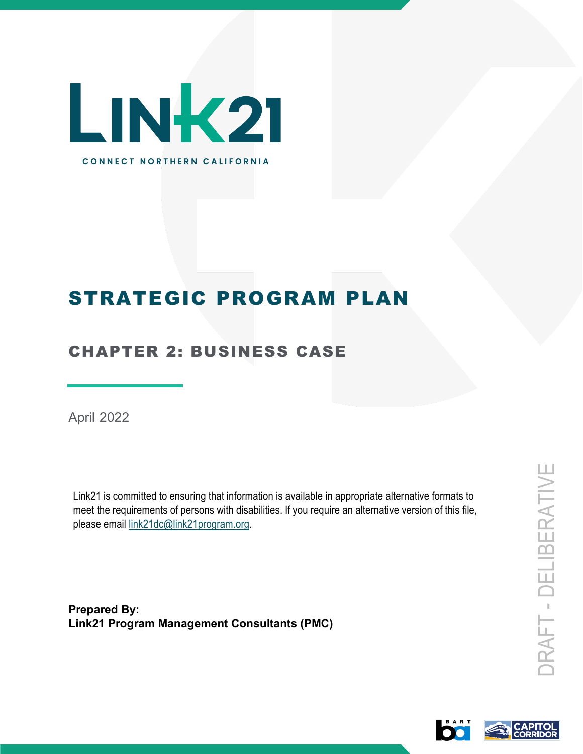

# STRATEGIC PROGRAM PLAN

## CHAPTER 2: BUSINESS CASE

April 2022

Link21 is committed to ensuring that information is available in appropriate alternative formats to meet the requirements of persons with disabilities. If you require an alternative version of this file, please email link21dc@link21program.org.

**Prepared By: Link21 Program Management Consultants (PMC)**

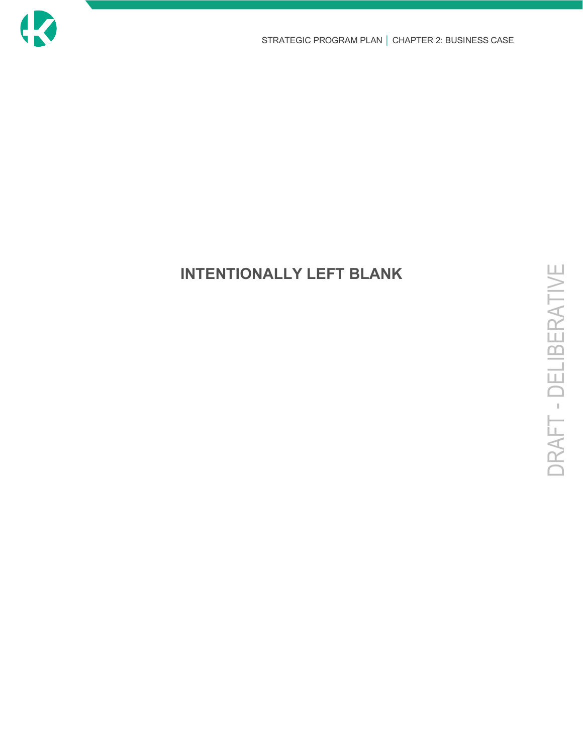

## **INTENTIONALLY LEFT BLANK**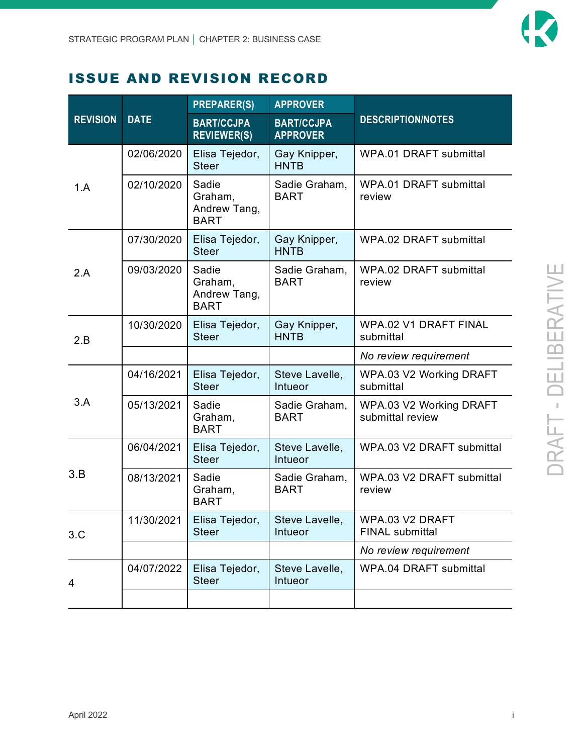

### ISSUE AND REVISION RECORD

|                 |             | <b>PREPARER(S)</b><br><b>APPROVER</b>           |                                      |                                             |  |
|-----------------|-------------|-------------------------------------------------|--------------------------------------|---------------------------------------------|--|
| <b>REVISION</b> | <b>DATE</b> | <b>BART/CCJPA</b><br><b>REVIEWER(S)</b>         | <b>BART/CCJPA</b><br><b>APPROVER</b> | <b>DESCRIPTION/NOTES</b>                    |  |
|                 | 02/06/2020  | Elisa Tejedor,<br><b>Steer</b>                  | Gay Knipper,<br><b>HNTB</b>          | <b>WPA.01 DRAFT submittal</b>               |  |
| 1.A             | 02/10/2020  | Sadie<br>Graham,<br>Andrew Tang,<br><b>BART</b> | Sadie Graham,<br><b>BART</b>         | WPA.01 DRAFT submittal<br>review            |  |
|                 | 07/30/2020  | Elisa Tejedor,<br><b>Steer</b>                  | Gay Knipper,<br><b>HNTB</b>          | <b>WPA.02 DRAFT submittal</b>               |  |
| 2.A             | 09/03/2020  | Sadie<br>Graham,<br>Andrew Tang,<br><b>BART</b> | Sadie Graham,<br><b>BART</b>         | WPA.02 DRAFT submittal<br>review            |  |
| 2.B             | 10/30/2020  | Elisa Tejedor,<br><b>Steer</b>                  | Gay Knipper,<br><b>HNTB</b>          | WPA.02 V1 DRAFT FINAL<br>submittal          |  |
|                 |             |                                                 |                                      | No review requirement                       |  |
|                 | 04/16/2021  | Elisa Tejedor,<br><b>Steer</b>                  | Steve Lavelle,<br>Intueor            | WPA.03 V2 Working DRAFT<br>submittal        |  |
| 3.A             | 05/13/2021  | Sadie<br>Graham,<br><b>BART</b>                 | Sadie Graham,<br><b>BART</b>         | WPA.03 V2 Working DRAFT<br>submittal review |  |
|                 | 06/04/2021  | Elisa Tejedor,<br><b>Steer</b>                  | Steve Lavelle,<br>Intueor            | WPA.03 V2 DRAFT submittal                   |  |
| 3.B             | 08/13/2021  | Sadie<br>Graham,<br><b>BART</b>                 | Sadie Graham,<br><b>BART</b>         | WPA.03 V2 DRAFT submittal<br>review         |  |
| 3.C             | 11/30/2021  | Elisa Tejedor,<br><b>Steer</b>                  | Steve Lavelle,<br>Intueor            | WPA.03 V2 DRAFT<br><b>FINAL</b> submittal   |  |
|                 |             |                                                 |                                      | No review requirement                       |  |
| 4               | 04/07/2022  | Elisa Tejedor,<br><b>Steer</b>                  | Steve Lavelle,<br>Intueor            | <b>WPA.04 DRAFT submittal</b>               |  |
|                 |             |                                                 |                                      |                                             |  |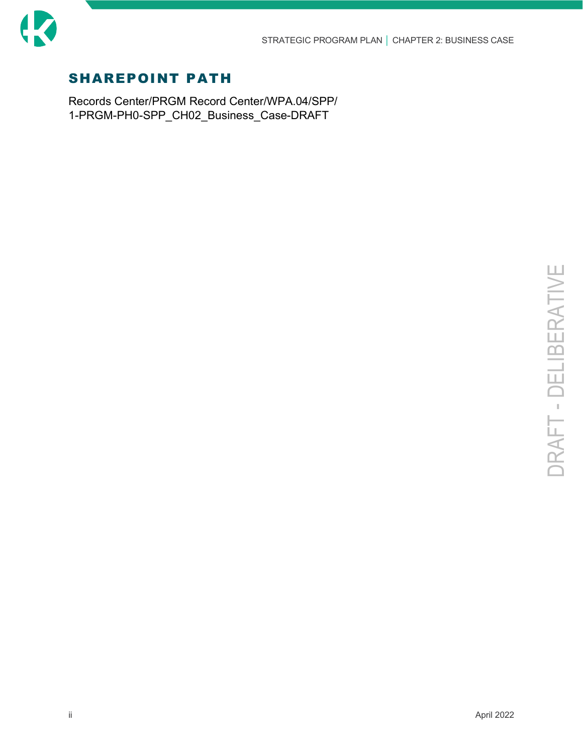

### SHAREPOINT PATH

Records Center/PRGM Record Center/WPA.04/SPP/ 1-PRGM-PH0-SPP\_CH02\_Business\_Case-DRAFT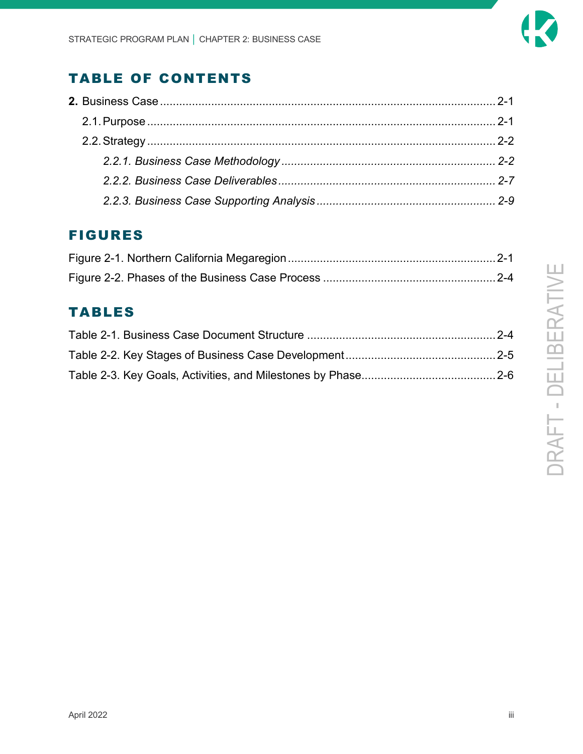

## TABLE OF CONTENTS

### FIGURES

## TABLES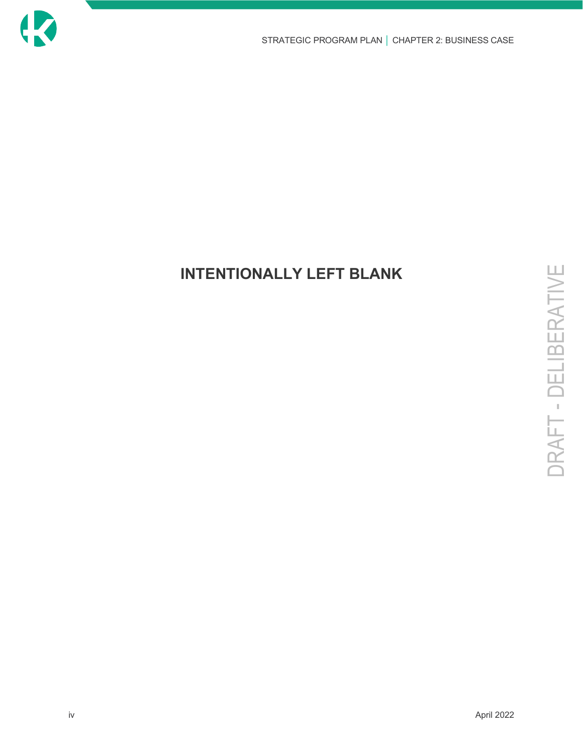

## **INTENTIONALLY LEFT BLANK**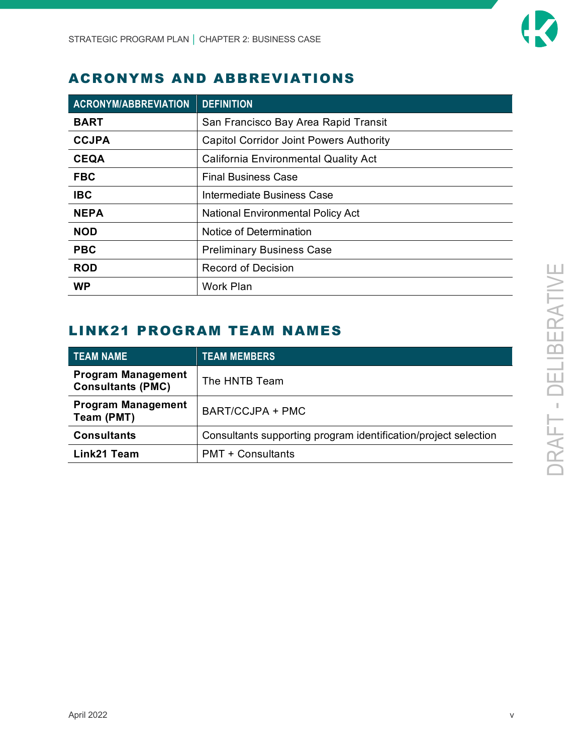

### ACRONYMS AND ABBREVIATIONS

| <b>ACRONYM/ABBREVIATION</b> | <b>DEFINITION</b>                              |  |  |
|-----------------------------|------------------------------------------------|--|--|
| <b>BART</b>                 | San Francisco Bay Area Rapid Transit           |  |  |
| <b>CCJPA</b>                | <b>Capitol Corridor Joint Powers Authority</b> |  |  |
| <b>CEQA</b>                 | California Environmental Quality Act           |  |  |
| <b>FBC</b>                  | <b>Final Business Case</b>                     |  |  |
| <b>IBC</b>                  | Intermediate Business Case                     |  |  |
| <b>NEPA</b>                 | <b>National Environmental Policy Act</b>       |  |  |
| <b>NOD</b>                  | Notice of Determination                        |  |  |
| <b>PBC</b>                  | <b>Preliminary Business Case</b>               |  |  |
| <b>ROD</b>                  | <b>Record of Decision</b>                      |  |  |
| <b>WP</b>                   | <b>Work Plan</b>                               |  |  |

### LINK21 PROGRAM TEAM NAMES

| <b>TEAM NAME</b>                                      | <b>TEAM MEMBERS</b>                                             |  |
|-------------------------------------------------------|-----------------------------------------------------------------|--|
| <b>Program Management</b><br><b>Consultants (PMC)</b> | The HNTB Team                                                   |  |
| <b>Program Management</b><br>Team (PMT)               | <b>BART/CCJPA + PMC</b>                                         |  |
| <b>Consultants</b>                                    | Consultants supporting program identification/project selection |  |
| Link21 Team                                           | <b>PMT + Consultants</b>                                        |  |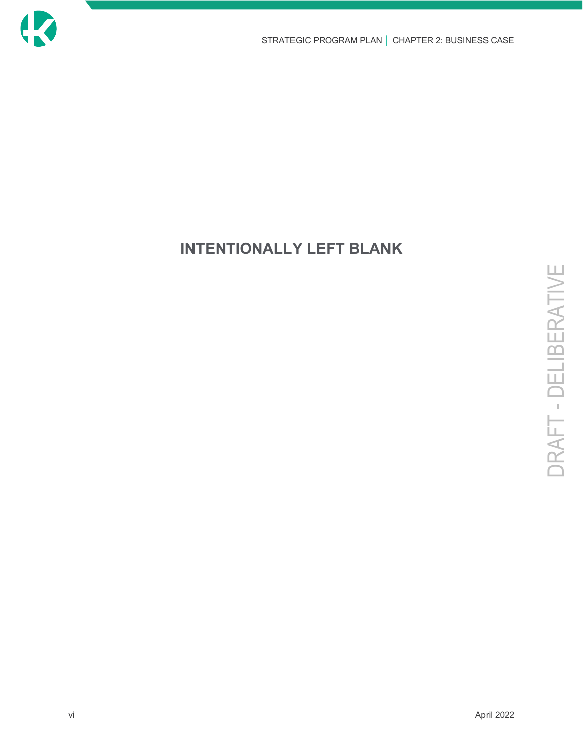

## **INTENTIONALLY LEFT BLANK**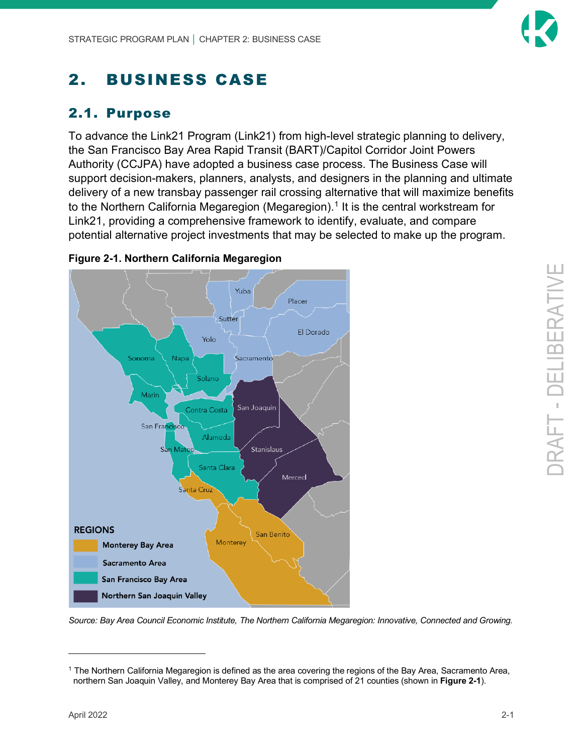

## <span id="page-8-0"></span>2. BUSINESS CASE

## <span id="page-8-1"></span>2.1. Purpose

To advance the Link21 Program (Link21) from high-level strategic planning to delivery, the San Francisco Bay Area Rapid Transit (BART)/Capitol Corridor Joint Powers Authority (CCJPA) have adopted a business case process. The Business Case will support decision-makers, planners, analysts, and designers in the planning and ultimate delivery of a new transbay passenger rail crossing alternative that will maximize benefits to the Northern California Megaregion (Megaregion). [1](#page-8-3) It is the central workstream for Link21, providing a comprehensive framework to identify, evaluate, and compare potential alternative project investments that may be selected to make up the program.



#### <span id="page-8-2"></span>**Figure 2-1. Northern California Megaregion**

*Source: Bay Area Council Economic Institute, The Northern California Megaregion: Innovative, Connected and Growing.*

<span id="page-8-3"></span><sup>1</sup> The Northern California Megaregion is defined as the area covering the regions of the Bay Area, Sacramento Area, northern San Joaquin Valley, and Monterey Bay Area that is comprised of 21 counties (shown in **[Figure 2-1](#page-8-2)**).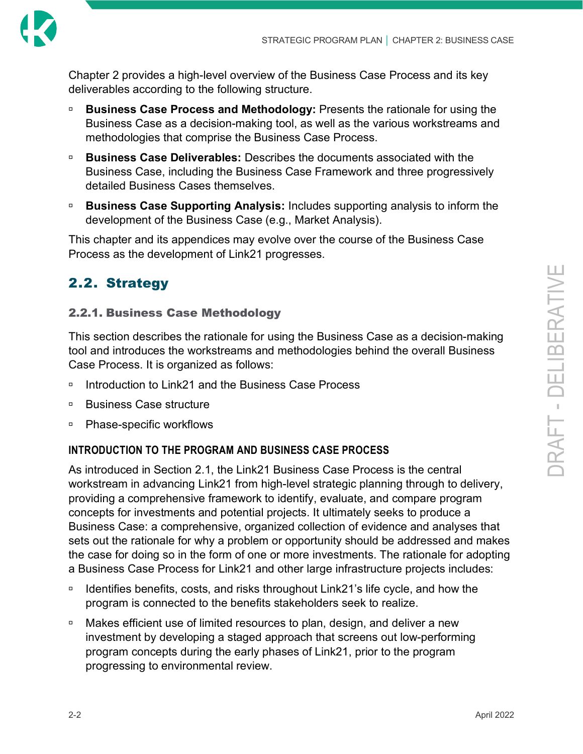

Chapter 2 provides a high-level overview of the Business Case Process and its key deliverables according to the following structure.

- **Business Case Process and Methodology:** Presents the rationale for using the Business Case as a decision-making tool, as well as the various workstreams and methodologies that comprise the Business Case Process.
- **Business Case Deliverables:** Describes the documents associated with the Business Case, including the Business Case Framework and three progressively detailed Business Cases themselves.
- **Business Case Supporting Analysis:** Includes supporting analysis to inform the development of the Business Case (e.g., Market Analysis).

This chapter and its appendices may evolve over the course of the Business Case Process as the development of Link21 progresses.

## <span id="page-9-0"></span>2.2. Strategy

#### <span id="page-9-1"></span>2.2.1. Business Case Methodology

This section describes the rationale for using the Business Case as a decision-making tool and introduces the workstreams and methodologies behind the overall Business Case Process. It is organized as follows:

- □ Introduction to Link21 and the Business Case Process
- □ Business Case structure
- □ Phase-specific workflows

#### **INTRODUCTION TO THE PROGRAM AND BUSINESS CASE PROCESS**

As introduced in Section 2.1, the Link21 Business Case Process is the central workstream in advancing Link21 from high-level strategic planning through to delivery, providing a comprehensive framework to identify, evaluate, and compare program concepts for investments and potential projects. It ultimately seeks to produce a Business Case: a comprehensive, organized collection of evidence and analyses that sets out the rationale for why a problem or opportunity should be addressed and makes the case for doing so in the form of one or more investments. The rationale for adopting a Business Case Process for Link21 and other large infrastructure projects includes:

- □ Identifies benefits, costs, and risks throughout Link21's life cycle, and how the program is connected to the benefits stakeholders seek to realize.
- □ Makes efficient use of limited resources to plan, design, and deliver a new investment by developing a staged approach that screens out low-performing program concepts during the early phases of Link21, prior to the program progressing to environmental review.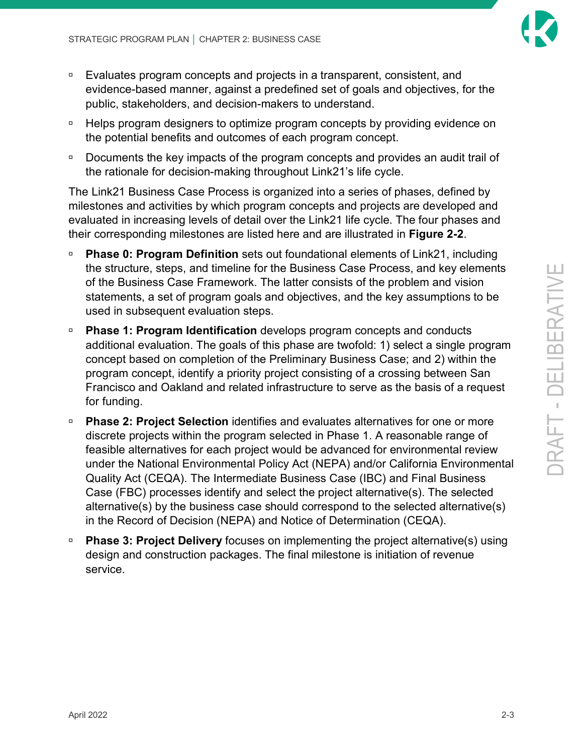

- Evaluates program concepts and projects in a transparent, consistent, and evidence-based manner, against a predefined set of goals and objectives, for the public, stakeholders, and decision-makers to understand.
- Helps program designers to optimize program concepts by providing evidence on the potential benefits and outcomes of each program concept.
- □ Documents the key impacts of the program concepts and provides an audit trail of the rationale for decision-making throughout Link21's life cycle.

The Link21 Business Case Process is organized into a series of phases, defined by milestones and activities by which program concepts and projects are developed and evaluated in increasing levels of detail over the Link21 life cycle. The four phases and their corresponding milestones are listed here and are illustrated in **[Figure 2-2](#page-10-0)**.

- **Phase 0: Program Definition** sets out foundational elements of Link21, including the structure, steps, and timeline for the Business Case Process, and key elements of the Business Case Framework. The latter consists of the problem and vision statements, a set of program goals and objectives, and the key assumptions to be used in subsequent evaluation steps.
- **Phase 1: Program Identification** develops program concepts and conducts additional evaluation. The goals of this phase are twofold: 1) select a single program concept based on completion of the Preliminary Business Case; and 2) within the program concept, identify a priority project consisting of a crossing between San Francisco and Oakland and related infrastructure to serve as the basis of a request for funding.
- **Phase 2: Project Selection** identifies and evaluates alternatives for one or more discrete projects within the program selected in Phase 1. A reasonable range of feasible alternatives for each project would be advanced for environmental review under the National Environmental Policy Act (NEPA) and/or California Environmental Quality Act (CEQA). The Intermediate Business Case (IBC) and Final Business Case (FBC) processes identify and select the project alternative(s). The selected alternative(s) by the business case should correspond to the selected alternative(s) in the Record of Decision (NEPA) and Notice of Determination (CEQA).
- <span id="page-10-0"></span>**Phase 3: Project Delivery** focuses on implementing the project alternative(s) using design and construction packages. The final milestone is initiation of revenue service.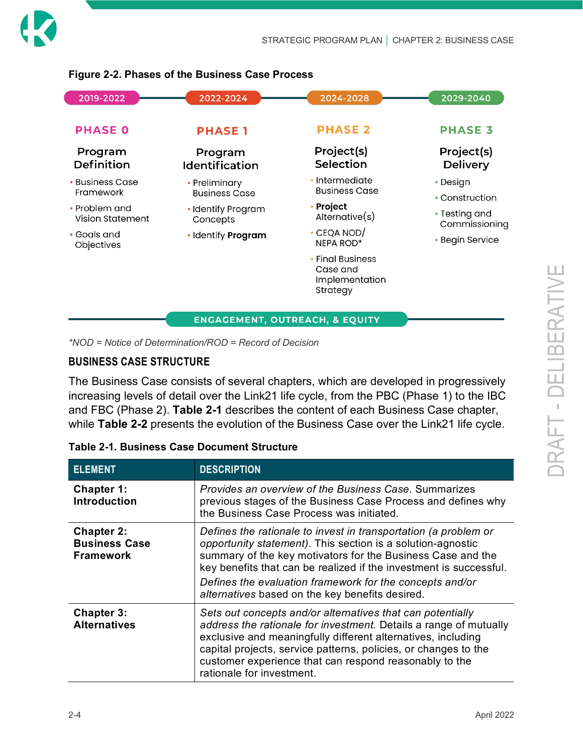

#### <span id="page-11-0"></span>**Figure 2-2. Phases of the Business Case Process**

*\*NOD = Notice of Determination/ROD = Record of Decision*

#### **BUSINESS CASE STRUCTURE**

The Business Case consists of several chapters, which are developed in progressively increasing levels of detail over the Link21 life cycle, from the PBC (Phase 1) to the IBC and FBC (Phase 2). **[Table 2-1](#page-11-1)** describes the content of each Business Case chapter, while **[Table 2-2](#page-12-0)** presents the evolution of the Business Case over the Link21 life cycle.

<span id="page-11-1"></span>

|  | <b>Table 2-1. Business Case Document Structure</b> |  |
|--|----------------------------------------------------|--|
|--|----------------------------------------------------|--|

| <b>ELEMENT</b>                                                | <b>DESCRIPTION</b>                                                                                                                                                                                                                                                                                                                                                                 |
|---------------------------------------------------------------|------------------------------------------------------------------------------------------------------------------------------------------------------------------------------------------------------------------------------------------------------------------------------------------------------------------------------------------------------------------------------------|
| <b>Chapter 1:</b><br><b>Introduction</b>                      | Provides an overview of the Business Case. Summarizes<br>previous stages of the Business Case Process and defines why<br>the Business Case Process was initiated.                                                                                                                                                                                                                  |
| <b>Chapter 2:</b><br><b>Business Case</b><br><b>Framework</b> | Defines the rationale to invest in transportation (a problem or<br>opportunity statement). This section is a solution-agnostic<br>summary of the key motivators for the Business Case and the<br>key benefits that can be realized if the investment is successful.<br>Defines the evaluation framework for the concepts and/or<br>alternatives based on the key benefits desired. |
| <b>Chapter 3:</b><br><b>Alternatives</b>                      | Sets out concepts and/or alternatives that can potentially<br>address the rationale for investment. Details a range of mutually<br>exclusive and meaningfully different alternatives, including<br>capital projects, service patterns, policies, or changes to the<br>customer experience that can respond reasonably to the<br>rationale for investment.                          |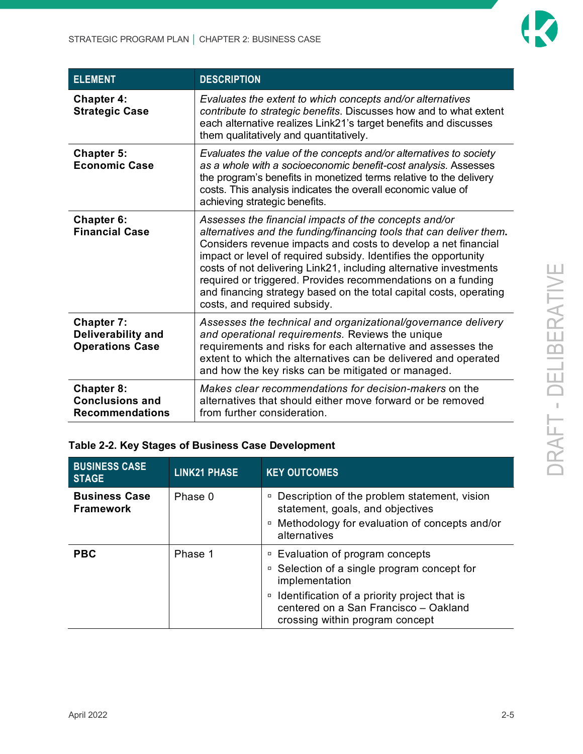

| <b>ELEMENT</b>                                                        | <b>DESCRIPTION</b>                                                                                                                                                                                                                                                                                                                                                                                                                                                                                           |  |  |
|-----------------------------------------------------------------------|--------------------------------------------------------------------------------------------------------------------------------------------------------------------------------------------------------------------------------------------------------------------------------------------------------------------------------------------------------------------------------------------------------------------------------------------------------------------------------------------------------------|--|--|
| <b>Chapter 4:</b><br><b>Strategic Case</b>                            | Evaluates the extent to which concepts and/or alternatives<br>contribute to strategic benefits. Discusses how and to what extent<br>each alternative realizes Link21's target benefits and discusses<br>them qualitatively and quantitatively.                                                                                                                                                                                                                                                               |  |  |
| <b>Chapter 5:</b><br><b>Economic Case</b>                             | Evaluates the value of the concepts and/or alternatives to society<br>as a whole with a socioeconomic benefit-cost analysis. Assesses<br>the program's benefits in monetized terms relative to the delivery<br>costs. This analysis indicates the overall economic value of<br>achieving strategic benefits.                                                                                                                                                                                                 |  |  |
| <b>Chapter 6:</b><br><b>Financial Case</b>                            | Assesses the financial impacts of the concepts and/or<br>alternatives and the funding/financing tools that can deliver them.<br>Considers revenue impacts and costs to develop a net financial<br>impact or level of required subsidy. Identifies the opportunity<br>costs of not delivering Link21, including alternative investments<br>required or triggered. Provides recommendations on a funding<br>and financing strategy based on the total capital costs, operating<br>costs, and required subsidy. |  |  |
| <b>Chapter 7:</b><br>Deliverability and<br><b>Operations Case</b>     | Assesses the technical and organizational/governance delivery<br>and operational requirements. Reviews the unique<br>requirements and risks for each alternative and assesses the<br>extent to which the alternatives can be delivered and operated<br>and how the key risks can be mitigated or managed.                                                                                                                                                                                                    |  |  |
| <b>Chapter 8:</b><br><b>Conclusions and</b><br><b>Recommendations</b> | Makes clear recommendations for decision-makers on the<br>alternatives that should either move forward or be removed<br>from further consideration.                                                                                                                                                                                                                                                                                                                                                          |  |  |

#### <span id="page-12-0"></span>**Table 2-2. Key Stages of Business Case Development**

| <b>BUSINESS CASE</b><br><b>STAGE</b>     | <b>LINK21 PHASE</b> | <b>KEY OUTCOMES</b>                                                                                                                                                                                                                     |
|------------------------------------------|---------------------|-----------------------------------------------------------------------------------------------------------------------------------------------------------------------------------------------------------------------------------------|
| <b>Business Case</b><br><b>Framework</b> | Phase 0             | <b>Description of the problem statement, vision</b><br>statement, goals, and objectives<br><sup>□</sup> Methodology for evaluation of concepts and/or<br>alternatives                                                                   |
| <b>PBC</b>                               | Phase 1             | □ Evaluation of program concepts<br>□ Selection of a single program concept for<br>implementation<br>Identification of a priority project that is<br>$\Box$<br>centered on a San Francisco - Oakland<br>crossing within program concept |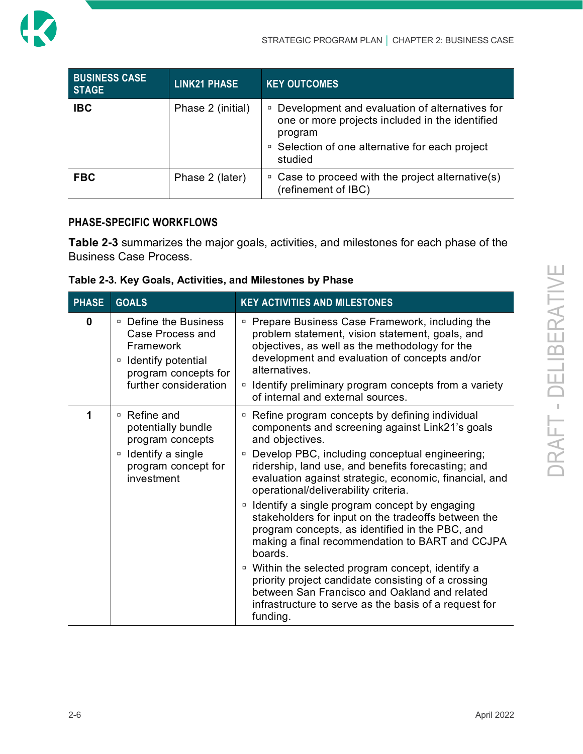

| <b>BUSINESS CASE</b><br><b>STAGE</b> | <b>LINK21 PHASE</b> | <b>KEY OUTCOMES</b>                                                                                                                                                          |
|--------------------------------------|---------------------|------------------------------------------------------------------------------------------------------------------------------------------------------------------------------|
| <b>IBC</b>                           | Phase 2 (initial)   | □ Development and evaluation of alternatives for<br>one or more projects included in the identified<br>program<br>□ Selection of one alternative for each project<br>studied |
| <b>FBC</b>                           | Phase 2 (later)     | $\overline{a}$ Case to proceed with the project alternative(s)<br>(refinement of IBC)                                                                                        |

#### **PHASE-SPECIFIC WORKFLOWS**

**[Table 2-3](#page-13-0)** summarizes the major goals, activities, and milestones for each phase of the Business Case Process.

<span id="page-13-0"></span>

| Table 2-3. Key Goals, Activities, and Milestones by Phase |  |  |  |
|-----------------------------------------------------------|--|--|--|
|-----------------------------------------------------------|--|--|--|

| <b>PHASE</b> | <b>GOALS</b>                                                                                                                                   | <b>KEY ACTIVITIES AND MILESTONES</b>                                                                                                                                                                                                                                                                                                                                                                                                                                                                                                                                                                                                                                                                                                                                                                                                  |
|--------------|------------------------------------------------------------------------------------------------------------------------------------------------|---------------------------------------------------------------------------------------------------------------------------------------------------------------------------------------------------------------------------------------------------------------------------------------------------------------------------------------------------------------------------------------------------------------------------------------------------------------------------------------------------------------------------------------------------------------------------------------------------------------------------------------------------------------------------------------------------------------------------------------------------------------------------------------------------------------------------------------|
| $\mathbf{0}$ | □ Define the Business<br><b>Case Process and</b><br>Framework<br>Identify potential<br>$\Box$<br>program concepts for<br>further consideration | Prepare Business Case Framework, including the<br>$\Box$<br>problem statement, vision statement, goals, and<br>objectives, as well as the methodology for the<br>development and evaluation of concepts and/or<br>alternatives.<br>Identify preliminary program concepts from a variety<br>п<br>of internal and external sources.                                                                                                                                                                                                                                                                                                                                                                                                                                                                                                     |
| 1            | □ Refine and<br>potentially bundle<br>program concepts<br>Identify a single<br>$\Box$<br>program concept for<br>investment                     | Refine program concepts by defining individual<br>$\Box$<br>components and screening against Link21's goals<br>and objectives.<br>Develop PBC, including conceptual engineering;<br>$\Box$<br>ridership, land use, and benefits forecasting; and<br>evaluation against strategic, economic, financial, and<br>operational/deliverability criteria.<br><sup>D</sup> Identify a single program concept by engaging<br>stakeholders for input on the tradeoffs between the<br>program concepts, as identified in the PBC, and<br>making a final recommendation to BART and CCJPA<br>boards.<br><sup>D</sup> Within the selected program concept, identify a<br>priority project candidate consisting of a crossing<br>between San Francisco and Oakland and related<br>infrastructure to serve as the basis of a request for<br>funding. |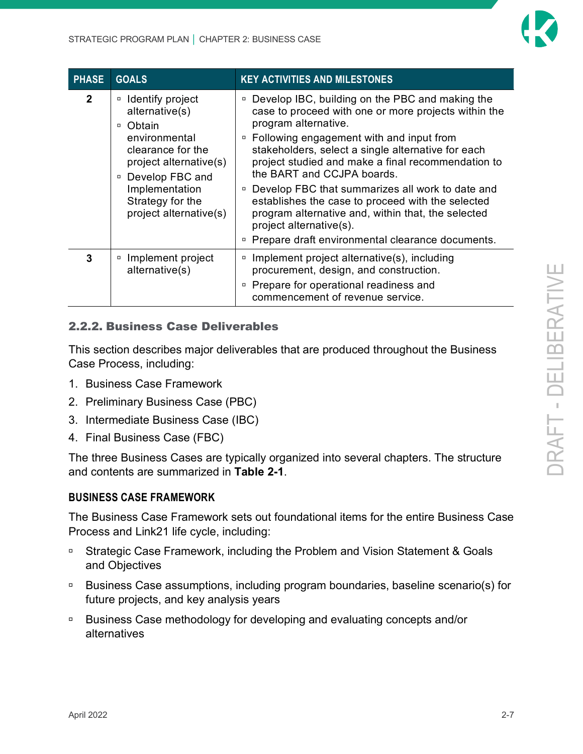

| <b>PHASE</b> | <b>GOALS</b>                                                                                                                                                                                                     | <b>KEY ACTIVITIES AND MILESTONES</b>                                                                                                                                                                                                                                                                                                                                                                                                                                                                                                  |
|--------------|------------------------------------------------------------------------------------------------------------------------------------------------------------------------------------------------------------------|---------------------------------------------------------------------------------------------------------------------------------------------------------------------------------------------------------------------------------------------------------------------------------------------------------------------------------------------------------------------------------------------------------------------------------------------------------------------------------------------------------------------------------------|
| $\mathbf{2}$ | Identify project<br>α<br>alternative(s)<br>□ Obtain<br>environmental<br>clearance for the<br>project alternative(s)<br>Develop FBC and<br>$\Box$<br>Implementation<br>Strategy for the<br>project alternative(s) | Develop IBC, building on the PBC and making the<br>$\Box$<br>case to proceed with one or more projects within the<br>program alternative.<br>□ Following engagement with and input from<br>stakeholders, select a single alternative for each<br>project studied and make a final recommendation to<br>the BART and CCJPA boards.<br>Develop FBC that summarizes all work to date and<br>$\Box$<br>establishes the case to proceed with the selected<br>program alternative and, within that, the selected<br>project alternative(s). |
|              |                                                                                                                                                                                                                  | Prepare draft environmental clearance documents.<br>$\Box$                                                                                                                                                                                                                                                                                                                                                                                                                                                                            |
| 3            | Implement project<br>Π<br>alternative(s)                                                                                                                                                                         | Implement project alternative(s), including<br>ο<br>procurement, design, and construction.<br>Prepare for operational readiness and<br>$\Box$<br>commencement of revenue service.                                                                                                                                                                                                                                                                                                                                                     |

#### <span id="page-14-0"></span>2.2.2. Business Case Deliverables

This section describes major deliverables that are produced throughout the Business Case Process, including:

- 1. Business Case Framework
- 2. Preliminary Business Case (PBC)
- 3. Intermediate Business Case (IBC)
- 4. Final Business Case (FBC)

The three Business Cases are typically organized into several chapters. The structure and contents are summarized in **[Table 2-1](#page-11-1)**.

#### **BUSINESS CASE FRAMEWORK**

The Business Case Framework sets out foundational items for the entire Business Case Process and Link21 life cycle, including:

- □ Strategic Case Framework, including the Problem and Vision Statement & Goals and Objectives
- □ Business Case assumptions, including program boundaries, baseline scenario(s) for future projects, and key analysis years
- □ Business Case methodology for developing and evaluating concepts and/or alternatives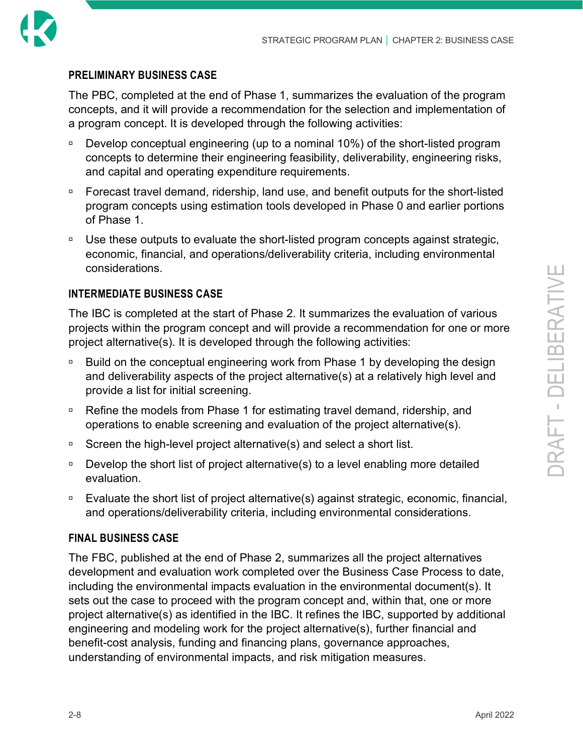

#### **PRELIMINARY BUSINESS CASE**

The PBC, completed at the end of Phase 1, summarizes the evaluation of the program concepts, and it will provide a recommendation for the selection and implementation of a program concept. It is developed through the following activities:

- □ Develop conceptual engineering (up to a nominal 10%) of the short-listed program concepts to determine their engineering feasibility, deliverability, engineering risks, and capital and operating expenditure requirements.
- Forecast travel demand, ridership, land use, and benefit outputs for the short-listed program concepts using estimation tools developed in Phase 0 and earlier portions of Phase 1.
- □ Use these outputs to evaluate the short-listed program concepts against strategic, economic, financial, and operations/deliverability criteria, including environmental considerations.

#### **INTERMEDIATE BUSINESS CASE**

The IBC is completed at the start of Phase 2. It summarizes the evaluation of various projects within the program concept and will provide a recommendation for one or more project alternative(s). It is developed through the following activities:

- □ Build on the conceptual engineering work from Phase 1 by developing the design and deliverability aspects of the project alternative(s) at a relatively high level and provide a list for initial screening.
- □ Refine the models from Phase 1 for estimating travel demand, ridership, and operations to enable screening and evaluation of the project alternative(s).
- □ Screen the high-level project alternative(s) and select a short list.
- □ Develop the short list of project alternative(s) to a level enabling more detailed evaluation.
- Evaluate the short list of project alternative(s) against strategic, economic, financial, and operations/deliverability criteria, including environmental considerations.

#### **FINAL BUSINESS CASE**

The FBC, published at the end of Phase 2, summarizes all the project alternatives development and evaluation work completed over the Business Case Process to date, including the environmental impacts evaluation in the environmental document(s). It sets out the case to proceed with the program concept and, within that, one or more project alternative(s) as identified in the IBC. It refines the IBC, supported by additional engineering and modeling work for the project alternative(s), further financial and benefit-cost analysis, funding and financing plans, governance approaches, understanding of environmental impacts, and risk mitigation measures.